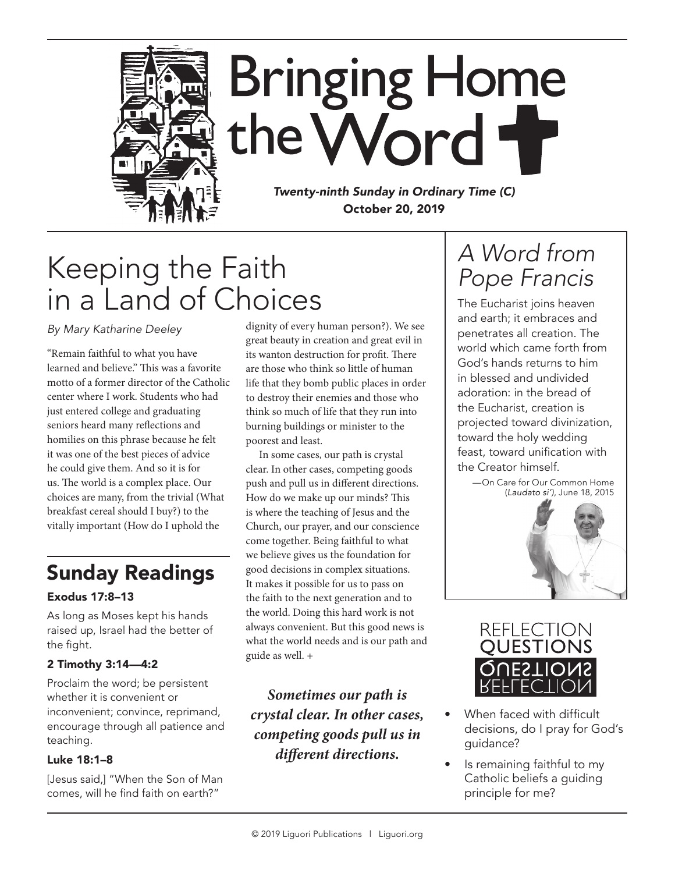

*Twenty-ninth Sunday in Ordinary Time (C)* October 20, 2019

# Keeping the Faith in a Land of Choices

*By Mary Katharine Deeley*

"Remain faithful to what you have learned and believe." This was a favorite motto of a former director of the Catholic center where I work. Students who had just entered college and graduating seniors heard many reflections and homilies on this phrase because he felt it was one of the best pieces of advice he could give them. And so it is for us. The world is a complex place. Our choices are many, from the trivial (What breakfast cereal should I buy?) to the vitally important (How do I uphold the

### Sunday Readings

#### Exodus 17:8–13

As long as Moses kept his hands raised up, Israel had the better of the fight.

#### 2 Timothy 3:14—4:2

Proclaim the word; be persistent whether it is convenient or inconvenient; convince, reprimand, encourage through all patience and teaching.

#### Luke 18:1–8

[Jesus said,] "When the Son of Man comes, will he find faith on earth?"

dignity of every human person?). We see great beauty in creation and great evil in its wanton destruction for profit. There are those who think so little of human life that they bomb public places in order to destroy their enemies and those who think so much of life that they run into burning buildings or minister to the poorest and least.

In some cases, our path is crystal clear. In other cases, competing goods push and pull us in different directions. How do we make up our minds? This is where the teaching of Jesus and the Church, our prayer, and our conscience come together. Being faithful to what we believe gives us the foundation for good decisions in complex situations. It makes it possible for us to pass on the faith to the next generation and to the world. Doing this hard work is not always convenient. But this good news is what the world needs and is our path and guide as well. +

*Sometimes our path is crystal clear. In other cases, competing goods pull us in different directions.*

## *A Word from Pope Francis*

The Eucharist joins heaven and earth; it embraces and penetrates all creation. The world which came forth from God's hands returns to him in blessed and undivided adoration: in the bread of the Eucharist, creation is projected toward divinization, toward the holy wedding feast, toward unification with the Creator himself.

—On Care for Our Common Home (*Laudato si')*, June 18, 2015





- When faced with difficult decisions, do I pray for God's guidance?
- Is remaining faithful to my Catholic beliefs a guiding principle for me?